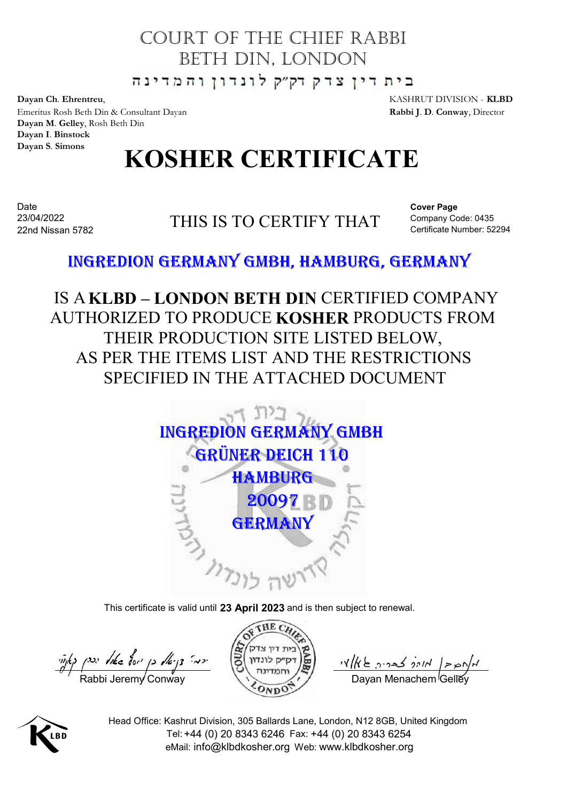### COURT OF THE CHIEF RABBI BETH DIN, LONDON

Dayan Ch. Ehrentreu, and the state of the state of the state of the KASHRUT DIVISION - **KLBD** Emeritus Rosh Beth Din & Consultant Dayan Rabbi J. D. Conway, Director Dayan M. Gelley, Rosh Beth Din Dayan I. Binstock Dayan S. Simons

# KOSHER CERTIFICATE

Date and the contract of the contract of the contract of the contract of the contract of the contract of the contract of the contract of the contract of the contract of the contract of the contract of the contract of the c 22nd Nissan 5782

THIS IS TO CERTIFY THAT 23/04/2022

Cover Page Company Code: 0435 1<br>
HRUT DIVISION - **KLBD**<br>
id J. D. Conway, Director<br>
Cover Page<br>
Company Code: 0435<br>
Certificate Number: 52294<br> **RMANY** 

IS AKLBD – LONDON BETH DIN CERTIFIED COMPANY AUTHORIZED TO PRODUCE KOSHER PRODUCTS FROM  $\begin{array}{ll} \begin{array}{l} \text{KASIRUT DIVISION-RLBD} \\ \text{Rabbi J.D. Conway, Dicector} \end{array} \end{array}$ <br>  $\begin{array}{ll} \text{KOSHER CERTIFICATE} \end{array}$ THIS IS TO CERTIFY THAT<br>  $\begin{array}{ll} \begin{array}{ll} \text{Cover Page} \\ \text{Comparable Number 52294} \end{array} \end{array}$   $\begin{array}{ll} \text{EDION GERMANY GMBH, HAMBURG, GERMANY \\ \text{CHITRED COMPANY} \end{array} \end{array}$ <br>
LBD — LONDON AS PER THE ITEMS LIST AND THE RESTRICTIONS SPECIFIED IN THE ATTACHED DOCUMENT



This certificate is valid until 23 April 2023 and is then subject to renewal.

 $\frac{m}{\sqrt{2}}$  Nike  $\frac{m}{2}$   $\frac{m}{2}$  iv  $\frac{m}{2}$   $\frac{m}{2}$  iv  $\frac{m}{2}$  iv  $\frac{m}{2}$  iv  $\frac{m}{2}$  iv  $\frac{m}{2}$  iv  $\frac{n}{2}$  iv  $\frac{n}{2}$  iv  $\frac{n}{2}$  iv  $\frac{n}{2}$  iv  $\frac{n}{2}$  iv  $\frac{n}{2}$  is  $\frac{n}{2}$  in  $\frac{n}{2}$  in  $\frac{n}{2}$ 

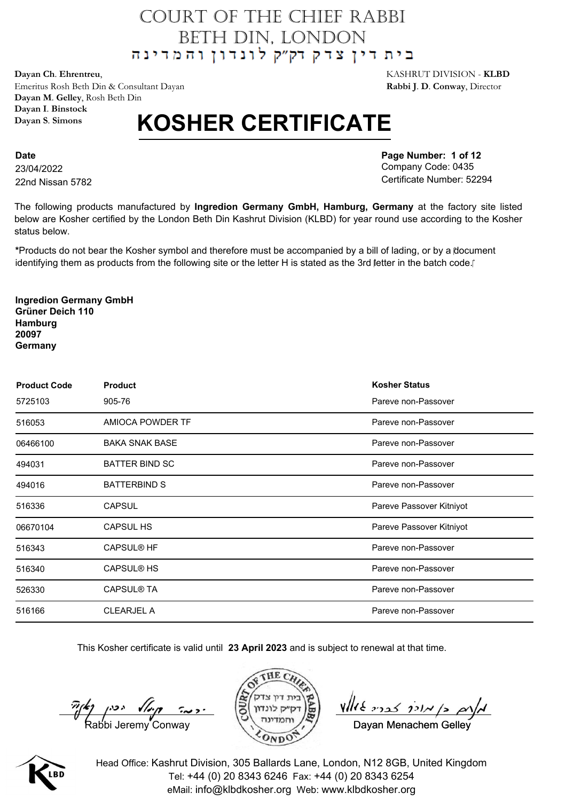**Dayan Ch**. **Ehrentreu**, KASHRUT DIVISION - **KLBD** Emeritus Rosh Beth Din & Consultant Dayan **Rabbi J**. **D**. **Conway**, Director **Dayan M**. **Gelley**, Rosh Beth Din **Dayan I**. **Binstock Dayan S**. **Simons**

## **KOSHER CERTIFICATE**

**Date** 23/04/2022 22nd Nissan 5782 **Page Number: 1 of 12** Company Code: 0435 Certificate Number: 52294

The following products manufactured by **Ingredion Germany GmbH, Hamburg, Germany** at the factory site listed below are Kosher certified by the London Beth Din Kashrut Division (KLBD) for year round use according to the Kosher status below.

**\***Products do not bear the Kosher symbol and therefore must be accompanied by a bill of lading, or by a document identifying them as products from the following site or the letter H is stated as the 3rd letter in the batch code.

**Ingredion Germany GmbH Grüner Deich 110 Hamburg 20097 Germany**

| <b>Product Code</b> | <b>Product</b>        | <b>Kosher Status</b>     |
|---------------------|-----------------------|--------------------------|
| 5725103             | 905-76                | Pareve non-Passover      |
| 516053              | AMIOCA POWDER TF      | Pareve non-Passover      |
| 06466100            | <b>BAKA SNAK BASE</b> | Pareve non-Passover      |
| 494031              | <b>BATTER BIND SC</b> | Pareve non-Passover      |
| 494016              | <b>BATTERBIND S</b>   | Pareve non-Passover      |
| 516336              | <b>CAPSUL</b>         | Pareve Passover Kitniyot |
| 06670104            | <b>CAPSUL HS</b>      | Pareve Passover Kitniyot |
| 516343              | <b>CAPSUL® HF</b>     | Pareve non-Passover      |
| 516340              | <b>CAPSUL® HS</b>     | Pareve non-Passover      |
| 526330              | <b>CAPSUL® TA</b>     | Pareve non-Passover      |
| 516166              | <b>CLEARJEL A</b>     | Pareve non-Passover      |

This Kosher certificate is valid until **23 April 2023** and is subject to renewal at that time.



Davan Menachem Gelley

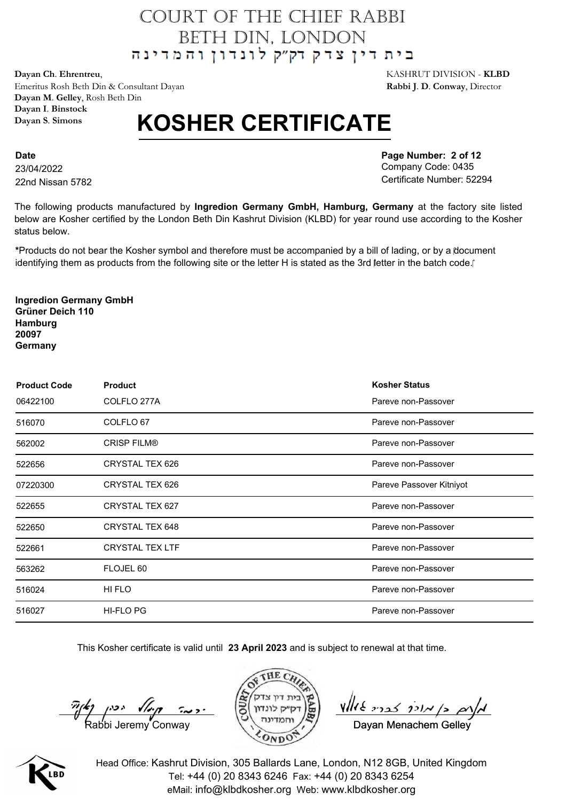**Dayan Ch**. **Ehrentreu**, KASHRUT DIVISION - **KLBD** Emeritus Rosh Beth Din & Consultant Dayan **Rabbi J**. **D**. **Conway**, Director **Dayan M**. **Gelley**, Rosh Beth Din **Dayan I**. **Binstock Dayan S**. **Simons**

## **KOSHER CERTIFICATE**

**Date** 23/04/2022 22nd Nissan 5782 **Page Number: 2 of 12** Company Code: 0435 Certificate Number: 52294

The following products manufactured by **Ingredion Germany GmbH, Hamburg, Germany** at the factory site listed below are Kosher certified by the London Beth Din Kashrut Division (KLBD) for year round use according to the Kosher status below.

**\***Products do not bear the Kosher symbol and therefore must be accompanied by a bill of lading, or by a document identifying them as products from the following site or the letter H is stated as the 3rd letter in the batch code.

**Ingredion Germany GmbH Grüner Deich 110 Hamburg 20097 Germany**

| <b>Product Code</b> | <b>Product</b>         | <b>Kosher Status</b>     |
|---------------------|------------------------|--------------------------|
| 06422100            | COLFLO 277A            | Pareve non-Passover      |
| 516070              | COLFLO 67              | Pareve non-Passover      |
| 562002              | <b>CRISP FILM®</b>     | Pareve non-Passover      |
| 522656              | CRYSTAL TEX 626        | Pareve non-Passover      |
| 07220300            | CRYSTAL TEX 626        | Pareve Passover Kitniyot |
| 522655              | CRYSTAL TEX 627        | Pareve non-Passover      |
| 522650              | CRYSTAL TEX 648        | Pareve non-Passover      |
| 522661              | <b>CRYSTAL TEX LTF</b> | Pareve non-Passover      |
| 563262              | FLOJEL 60              | Pareve non-Passover      |
| 516024              | HI FLO                 | Pareve non-Passover      |
| 516027              | HI-FLO PG              | Pareve non-Passover      |

This Kosher certificate is valid until **23 April 2023** and is subject to renewal at that time.



Davan Menachem Gelley

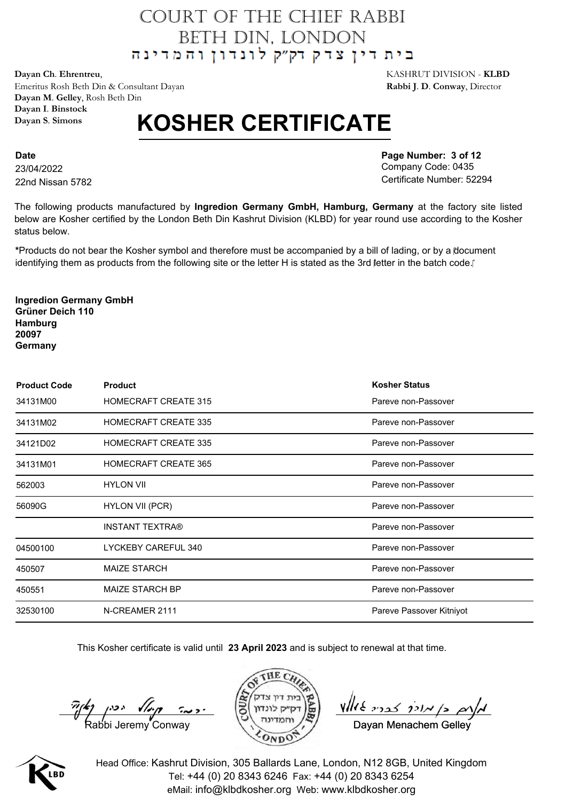**Dayan Ch**. **Ehrentreu**, KASHRUT DIVISION - **KLBD** Emeritus Rosh Beth Din & Consultant Dayan **Rabbi J**. **D**. **Conway**, Director **Dayan M**. **Gelley**, Rosh Beth Din **Dayan I**. **Binstock Dayan S**. **Simons**

## **KOSHER CERTIFICATE**

**Date** 23/04/2022 22nd Nissan 5782 **Page Number: 3 of 12** Company Code: 0435 Certificate Number: 52294

The following products manufactured by **Ingredion Germany GmbH, Hamburg, Germany** at the factory site listed below are Kosher certified by the London Beth Din Kashrut Division (KLBD) for year round use according to the Kosher status below.

**\***Products do not bear the Kosher symbol and therefore must be accompanied by a bill of lading, or by a document identifying them as products from the following site or the letter H is stated as the 3rd letter in the batch code.

**Ingredion Germany GmbH Grüner Deich 110 Hamburg 20097 Germany**

| <b>Product Code</b> | <b>Product</b>              | <b>Kosher Status</b>     |
|---------------------|-----------------------------|--------------------------|
| 34131M00            | <b>HOMECRAFT CREATE 315</b> | Pareve non-Passover      |
| 34131M02            | <b>HOMECRAFT CREATE 335</b> | Pareve non-Passover      |
| 34121D02            | <b>HOMECRAFT CREATE 335</b> | Pareve non-Passover      |
| 34131M01            | <b>HOMECRAFT CREATE 365</b> | Pareve non-Passover      |
| 562003              | <b>HYLON VII</b>            | Pareve non-Passover      |
| 56090G              | HYLON VII (PCR)             | Pareve non-Passover      |
|                     | <b>INSTANT TEXTRA®</b>      | Pareve non-Passover      |
| 04500100            | LYCKEBY CAREFUL 340         | Pareve non-Passover      |
| 450507              | <b>MAIZE STARCH</b>         | Pareve non-Passover      |
| 450551              | <b>MAIZE STARCH BP</b>      | Pareve non-Passover      |
| 32530100            | N-CREAMER 2111              | Pareve Passover Kitniyot |

This Kosher certificate is valid until **23 April 2023** and is subject to renewal at that time.



Davan Menachem Gelley

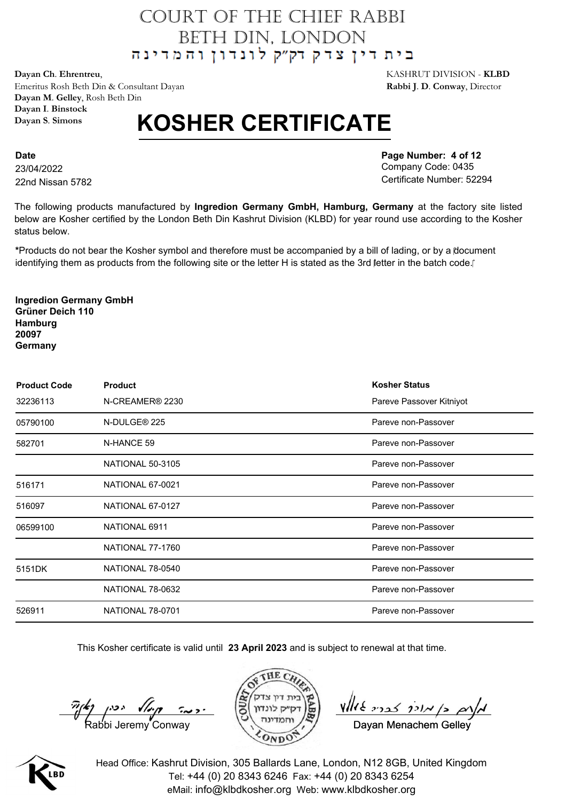**Dayan Ch**. **Ehrentreu**, KASHRUT DIVISION - **KLBD** Emeritus Rosh Beth Din & Consultant Dayan **Rabbi J**. **D**. **Conway**, Director **Dayan M**. **Gelley**, Rosh Beth Din **Dayan I**. **Binstock Dayan S**. **Simons**

## **KOSHER CERTIFICATE**

**Date** 23/04/2022 22nd Nissan 5782 **Page Number: 4 of 12** Company Code: 0435 Certificate Number: 52294

The following products manufactured by **Ingredion Germany GmbH, Hamburg, Germany** at the factory site listed below are Kosher certified by the London Beth Din Kashrut Division (KLBD) for year round use according to the Kosher status below.

**\***Products do not bear the Kosher symbol and therefore must be accompanied by a bill of lading, or by a document identifying them as products from the following site or the letter H is stated as the 3rd letter in the batch code.

**Ingredion Germany GmbH Grüner Deich 110 Hamburg 20097 Germany**

| <b>Product Code</b> | <b>Product</b>              | <b>Kosher Status</b>     |
|---------------------|-----------------------------|--------------------------|
| 32236113            | N-CREAMER <sup>®</sup> 2230 | Pareve Passover Kitniyot |
| 05790100            | N-DULGE <sup>®</sup> 225    | Pareve non-Passover      |
| 582701              | N-HANCE 59                  | Pareve non-Passover      |
|                     | <b>NATIONAL 50-3105</b>     | Pareve non-Passover      |
| 516171              | NATIONAL 67-0021            | Pareve non-Passover      |
| 516097              | NATIONAL 67-0127            | Pareve non-Passover      |
| 06599100            | NATIONAL 6911               | Pareve non-Passover      |
|                     | NATIONAL 77-1760            | Pareve non-Passover      |
| 5151DK              | NATIONAL 78-0540            | Pareve non-Passover      |
|                     | NATIONAL 78-0632            | Pareve non-Passover      |
| 526911              | <b>NATIONAL 78-0701</b>     | Pareve non-Passover      |

This Kosher certificate is valid until **23 April 2023** and is subject to renewal at that time.



Davan Menachem Gelley

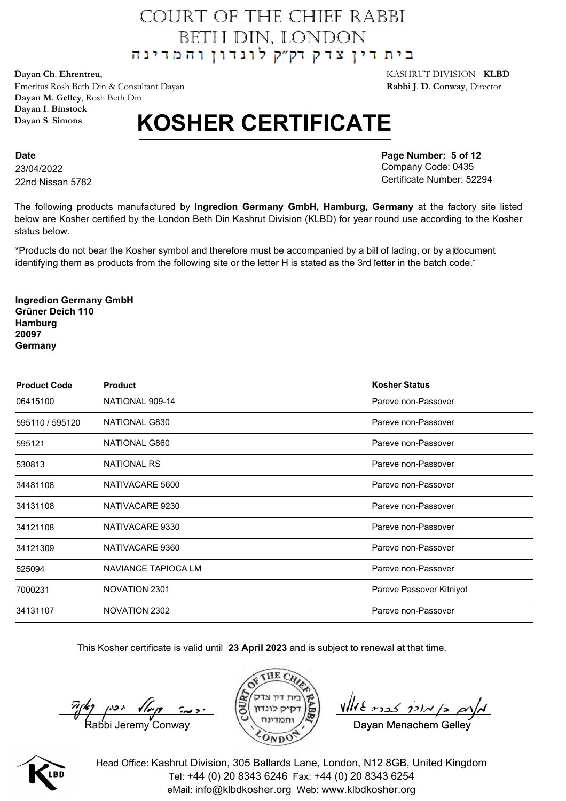**Dayan Ch**. **Ehrentreu**, KASHRUT DIVISION - **KLBD** Emeritus Rosh Beth Din & Consultant Dayan **Rabbi J**. **D**. **Conway**, Director **Dayan M**. **Gelley**, Rosh Beth Din **Dayan I**. **Binstock Dayan S**. **Simons**

## **KOSHER CERTIFICATE**

**Date** 23/04/2022 22nd Nissan 5782 **Page Number: 5 of 12** Company Code: 0435 Certificate Number: 52294

The following products manufactured by **Ingredion Germany GmbH, Hamburg, Germany** at the factory site listed below are Kosher certified by the London Beth Din Kashrut Division (KLBD) for year round use according to the Kosher status below.

**\***Products do not bear the Kosher symbol and therefore must be accompanied by a bill of lading, or by a document identifying them as products from the following site or the letter H is stated as the 3rd letter in the batch code.

**Ingredion Germany GmbH Grüner Deich 110 Hamburg 20097 Germany**

| <b>Product Code</b> | <b>Product</b>      | <b>Kosher Status</b>     |
|---------------------|---------------------|--------------------------|
| 06415100            | NATIONAL 909-14     | Pareve non-Passover      |
| 595110 / 595120     | NATIONAL G830       | Pareve non-Passover      |
| 595121              | NATIONAL G860       | Pareve non-Passover      |
| 530813              | <b>NATIONAL RS</b>  | Pareve non-Passover      |
| 34481108            | NATIVACARE 5600     | Pareve non-Passover      |
| 34131108            | NATIVACARE 9230     | Pareve non-Passover      |
| 34121108            | NATIVACARE 9330     | Pareve non-Passover      |
| 34121309            | NATIVACARE 9360     | Pareve non-Passover      |
| 525094              | NAVIANCE TAPIOCA LM | Pareve non-Passover      |
| 7000231             | NOVATION 2301       | Pareve Passover Kitniyot |
| 34131107            | NOVATION 2302       | Pareve non-Passover      |

This Kosher certificate is valid until **23 April 2023** and is subject to renewal at that time.



Davan Menachem Gelley

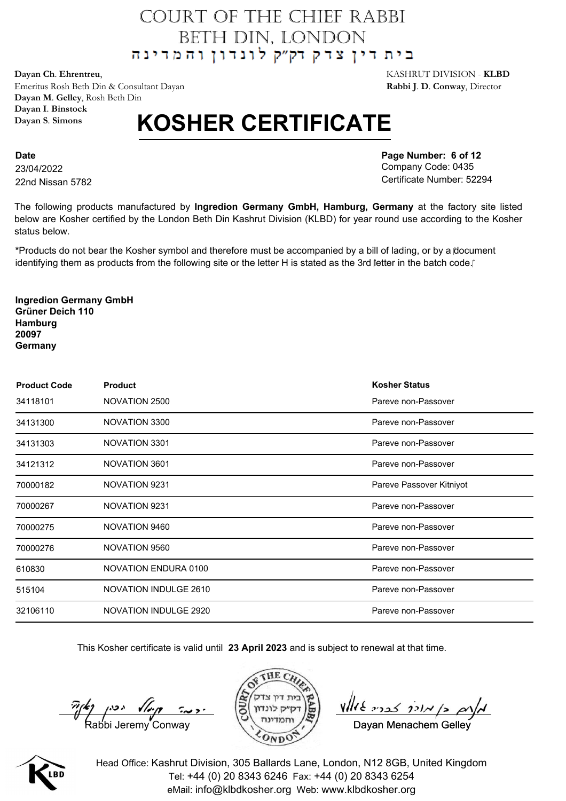**Dayan Ch**. **Ehrentreu**, KASHRUT DIVISION - **KLBD** Emeritus Rosh Beth Din & Consultant Dayan **Rabbi J**. **D**. **Conway**, Director **Dayan M**. **Gelley**, Rosh Beth Din **Dayan I**. **Binstock Dayan S**. **Simons**

## **KOSHER CERTIFICATE**

**Date** 23/04/2022 22nd Nissan 5782 **Page Number: 6 of 12** Company Code: 0435 Certificate Number: 52294

The following products manufactured by **Ingredion Germany GmbH, Hamburg, Germany** at the factory site listed below are Kosher certified by the London Beth Din Kashrut Division (KLBD) for year round use according to the Kosher status below.

**\***Products do not bear the Kosher symbol and therefore must be accompanied by a bill of lading, or by a document identifying them as products from the following site or the letter H is stated as the 3rd letter in the batch code.

**Ingredion Germany GmbH Grüner Deich 110 Hamburg 20097 Germany**

| <b>Product Code</b> | <b>Product</b>              | <b>Kosher Status</b>     |
|---------------------|-----------------------------|--------------------------|
| 34118101            | NOVATION 2500               | Pareve non-Passover      |
| 34131300            | NOVATION 3300               | Pareve non-Passover      |
| 34131303            | NOVATION 3301               | Pareve non-Passover      |
| 34121312            | NOVATION 3601               | Pareve non-Passover      |
| 70000182            | NOVATION 9231               | Pareve Passover Kitniyot |
| 70000267            | NOVATION 9231               | Pareve non-Passover      |
| 70000275            | NOVATION 9460               | Pareve non-Passover      |
| 70000276            | NOVATION 9560               | Pareve non-Passover      |
| 610830              | <b>NOVATION ENDURA 0100</b> | Pareve non-Passover      |
| 515104              | NOVATION INDULGE 2610       | Pareve non-Passover      |
| 32106110            | NOVATION INDULGE 2920       | Pareve non-Passover      |

This Kosher certificate is valid until **23 April 2023** and is subject to renewal at that time.



Davan Menachem Gelley

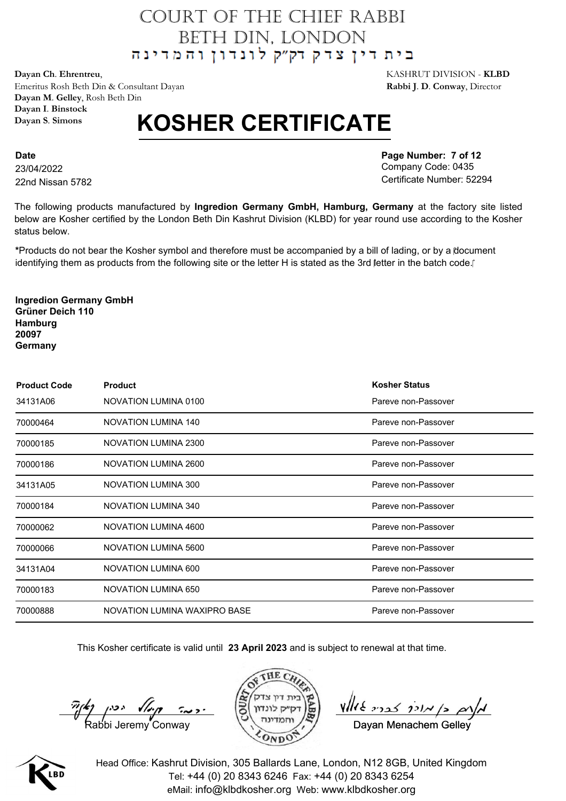**Dayan Ch**. **Ehrentreu**, KASHRUT DIVISION - **KLBD** Emeritus Rosh Beth Din & Consultant Dayan **Rabbi J**. **D**. **Conway**, Director **Dayan M**. **Gelley**, Rosh Beth Din **Dayan I**. **Binstock Dayan S**. **Simons**

## **KOSHER CERTIFICATE**

**Date** 23/04/2022 22nd Nissan 5782 **Page Number: 7 of 12** Company Code: 0435 Certificate Number: 52294

The following products manufactured by **Ingredion Germany GmbH, Hamburg, Germany** at the factory site listed below are Kosher certified by the London Beth Din Kashrut Division (KLBD) for year round use according to the Kosher status below.

**\***Products do not bear the Kosher symbol and therefore must be accompanied by a bill of lading, or by a document identifying them as products from the following site or the letter H is stated as the 3rd letter in the batch code.

**Ingredion Germany GmbH Grüner Deich 110 Hamburg 20097 Germany**

| <b>Product Code</b> | <b>Product</b>               | <b>Kosher Status</b> |
|---------------------|------------------------------|----------------------|
| 34131A06            | NOVATION LUMINA 0100         | Pareve non-Passover  |
| 70000464            | NOVATION LUMINA 140          | Pareve non-Passover  |
| 70000185            | NOVATION LUMINA 2300         | Pareve non-Passover  |
| 70000186            | <b>NOVATION LUMINA 2600</b>  | Pareve non-Passover  |
| 34131A05            | <b>NOVATION LUMINA 300</b>   | Pareve non-Passover  |
| 70000184            | <b>NOVATION LUMINA 340</b>   | Pareve non-Passover  |
| 70000062            | NOVATION LUMINA 4600         | Pareve non-Passover  |
| 70000066            | <b>NOVATION LUMINA 5600</b>  | Pareve non-Passover  |
| 34131A04            | NOVATION LUMINA 600          | Pareve non-Passover  |
| 70000183            | <b>NOVATION LUMINA 650</b>   | Pareve non-Passover  |
| 70000888            | NOVATION LUMINA WAXIPRO BASE | Pareve non-Passover  |

This Kosher certificate is valid until **23 April 2023** and is subject to renewal at that time.



Davan Menachem Gelley

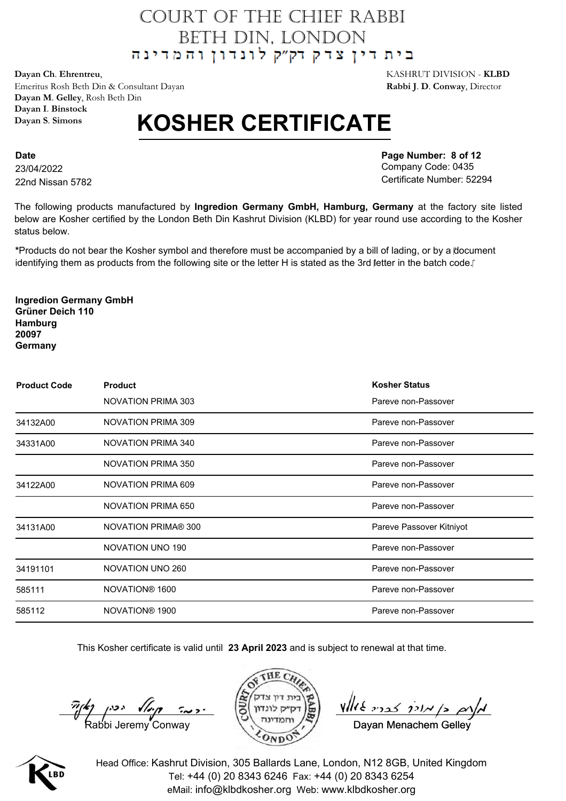**Dayan Ch**. **Ehrentreu**, KASHRUT DIVISION - **KLBD** Emeritus Rosh Beth Din & Consultant Dayan **Rabbi J**. **D**. **Conway**, Director **Dayan M**. **Gelley**, Rosh Beth Din **Dayan I**. **Binstock Dayan S**. **Simons**

## **KOSHER CERTIFICATE**

**Date** 23/04/2022 22nd Nissan 5782 **Page Number: 8 of 12** Company Code: 0435 Certificate Number: 52294

The following products manufactured by **Ingredion Germany GmbH, Hamburg, Germany** at the factory site listed below are Kosher certified by the London Beth Din Kashrut Division (KLBD) for year round use according to the Kosher status below.

**\***Products do not bear the Kosher symbol and therefore must be accompanied by a bill of lading, or by a document identifying them as products from the following site or the letter H is stated as the 3rd letter in the batch code.

**Ingredion Germany GmbH Grüner Deich 110 Hamburg 20097 Germany**

| <b>Product Code</b> | <b>Product</b>             | <b>Kosher Status</b>     |
|---------------------|----------------------------|--------------------------|
|                     | NOVATION PRIMA 303         | Pareve non-Passover      |
| 34132A00            | NOVATION PRIMA 309         | Pareve non-Passover      |
| 34331A00            | <b>NOVATION PRIMA 340</b>  | Pareve non-Passover      |
|                     | <b>NOVATION PRIMA 350</b>  | Pareve non-Passover      |
| 34122A00            | <b>NOVATION PRIMA 609</b>  | Pareve non-Passover      |
|                     | <b>NOVATION PRIMA 650</b>  | Pareve non-Passover      |
| 34131A00            | <b>NOVATION PRIMA® 300</b> | Pareve Passover Kitniyot |
|                     | NOVATION UNO 190           | Pareve non-Passover      |
| 34191101            | NOVATION UNO 260           | Pareve non-Passover      |
| 585111              | NOVATION® 1600             | Pareve non-Passover      |
| 585112              | NOVATION® 1900             | Pareve non-Passover      |

This Kosher certificate is valid until **23 April 2023** and is subject to renewal at that time.



Davan Menachem Gelley

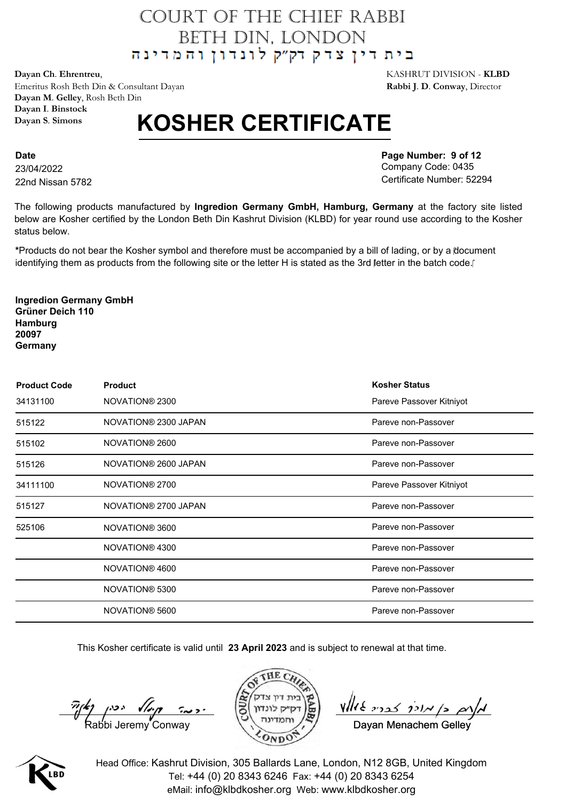**Dayan Ch**. **Ehrentreu**, KASHRUT DIVISION - **KLBD** Emeritus Rosh Beth Din & Consultant Dayan **Rabbi J**. **D**. **Conway**, Director **Dayan M**. **Gelley**, Rosh Beth Din **Dayan I**. **Binstock Dayan S**. **Simons**

## **KOSHER CERTIFICATE**

**Date** 23/04/2022 22nd Nissan 5782 **Page Number: 9 of 12** Company Code: 0435 Certificate Number: 52294

The following products manufactured by **Ingredion Germany GmbH, Hamburg, Germany** at the factory site listed below are Kosher certified by the London Beth Din Kashrut Division (KLBD) for year round use according to the Kosher status below.

**\***Products do not bear the Kosher symbol and therefore must be accompanied by a bill of lading, or by a document identifying them as products from the following site or the letter H is stated as the 3rd letter in the batch code.

**Ingredion Germany GmbH Grüner Deich 110 Hamburg 20097 Germany**

| <b>Product Code</b> | <b>Product</b>       | <b>Kosher Status</b>     |
|---------------------|----------------------|--------------------------|
| 34131100            | NOVATION® 2300       | Pareve Passover Kitniyot |
| 515122              | NOVATION® 2300 JAPAN | Pareve non-Passover      |
| 515102              | NOVATION® 2600       | Pareve non-Passover      |
| 515126              | NOVATION® 2600 JAPAN | Pareve non-Passover      |
| 34111100            | NOVATION® 2700       | Pareve Passover Kitniyot |
| 515127              | NOVATION® 2700 JAPAN | Pareve non-Passover      |
| 525106              | NOVATION® 3600       | Pareve non-Passover      |
|                     | NOVATION® 4300       | Pareve non-Passover      |
|                     | NOVATION® 4600       | Pareve non-Passover      |
|                     | NOVATION® 5300       | Pareve non-Passover      |
|                     | NOVATION® 5600       | Pareve non-Passover      |

This Kosher certificate is valid until **23 April 2023** and is subject to renewal at that time.



Davan Menachem Gelley

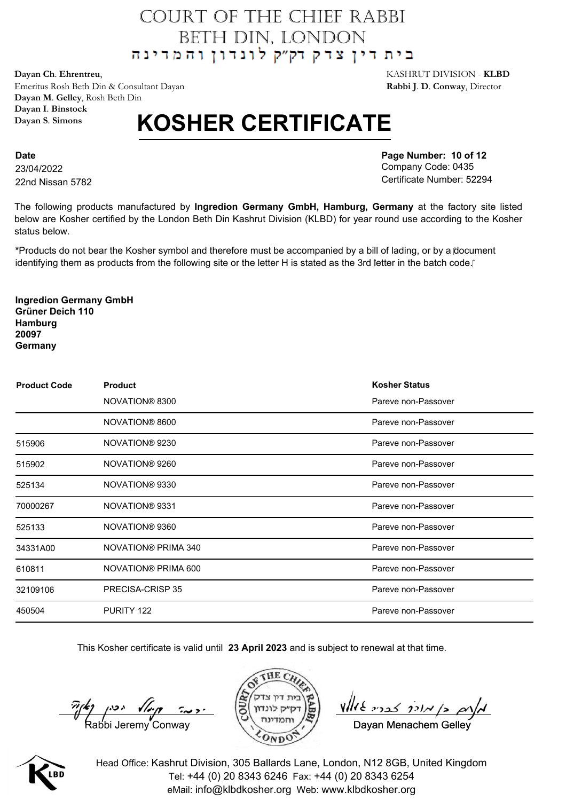**Dayan Ch**. **Ehrentreu**, KASHRUT DIVISION - **KLBD** Emeritus Rosh Beth Din & Consultant Dayan **Rabbi J**. **D**. **Conway**, Director **Dayan M**. **Gelley**, Rosh Beth Din **Dayan I**. **Binstock Dayan S**. **Simons**

## **KOSHER CERTIFICATE**

**Date** 23/04/2022 22nd Nissan 5782 **Page Number: 10 of 12** Company Code: 0435 Certificate Number: 52294

The following products manufactured by **Ingredion Germany GmbH, Hamburg, Germany** at the factory site listed below are Kosher certified by the London Beth Din Kashrut Division (KLBD) for year round use according to the Kosher status below.

**\***Products do not bear the Kosher symbol and therefore must be accompanied by a bill of lading, or by a document identifying them as products from the following site or the letter H is stated as the 3rd letter in the batch code.

**Ingredion Germany GmbH Grüner Deich 110 Hamburg 20097 Germany**

| <b>Product Code</b> | <b>Product</b>      | <b>Kosher Status</b> |
|---------------------|---------------------|----------------------|
|                     | NOVATION® 8300      | Pareve non-Passover  |
|                     | NOVATION® 8600      | Pareve non-Passover  |
| 515906              | NOVATION® 9230      | Pareve non-Passover  |
| 515902              | NOVATION® 9260      | Pareve non-Passover  |
| 525134              | NOVATION® 9330      | Pareve non-Passover  |
| 70000267            | NOVATION® 9331      | Pareve non-Passover  |
| 525133              | NOVATION® 9360      | Pareve non-Passover  |
| 34331A00            | NOVATION® PRIMA 340 | Pareve non-Passover  |
| 610811              | NOVATION® PRIMA 600 | Pareve non-Passover  |
| 32109106            | PRECISA-CRISP 35    | Pareve non-Passover  |
| 450504              | PURITY 122          | Pareve non-Passover  |

This Kosher certificate is valid until **23 April 2023** and is subject to renewal at that time.



Davan Menachem Gelley

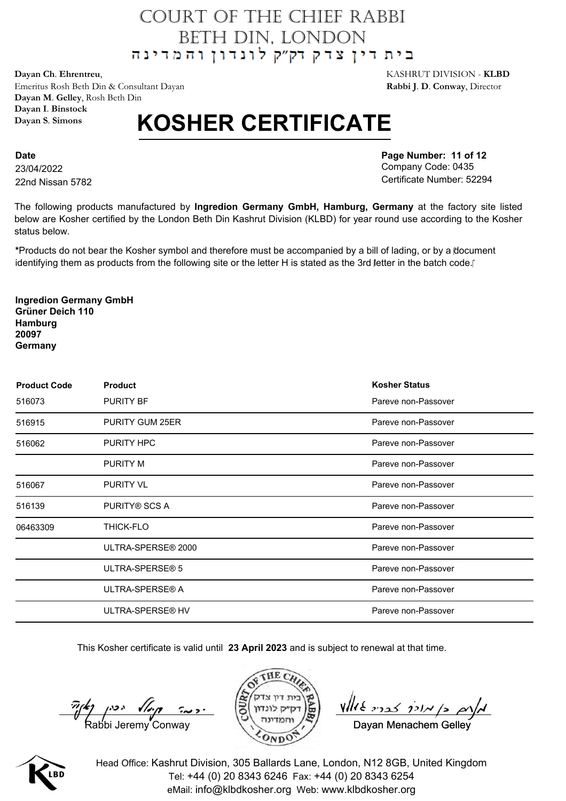**Dayan Ch**. **Ehrentreu**, KASHRUT DIVISION - **KLBD** Emeritus Rosh Beth Din & Consultant Dayan **Rabbi J**. **D**. **Conway**, Director **Dayan M**. **Gelley**, Rosh Beth Din **Dayan I**. **Binstock Dayan S**. **Simons**

## **KOSHER CERTIFICATE**

**Date** 23/04/2022 22nd Nissan 5782 **Page Number: 11 of 12** Company Code: 0435 Certificate Number: 52294

The following products manufactured by **Ingredion Germany GmbH, Hamburg, Germany** at the factory site listed below are Kosher certified by the London Beth Din Kashrut Division (KLBD) for year round use according to the Kosher status below.

**\***Products do not bear the Kosher symbol and therefore must be accompanied by a bill of lading, or by a document identifying them as products from the following site or the letter H is stated as the 3rd letter in the batch code.

**Ingredion Germany GmbH Grüner Deich 110 Hamburg 20097 Germany**

| <b>Product Code</b> | <b>Product</b>       | <b>Kosher Status</b> |
|---------------------|----------------------|----------------------|
| 516073              | <b>PURITY BF</b>     | Pareve non-Passover  |
| 516915              | PURITY GUM 25ER      | Pareve non-Passover  |
| 516062              | PURITY HPC           | Pareve non-Passover  |
|                     | <b>PURITY M</b>      | Pareve non-Passover  |
| 516067              | <b>PURITY VL</b>     | Pareve non-Passover  |
| 516139              | <b>PURITY® SCS A</b> | Pareve non-Passover  |
| 06463309            | <b>THICK-FLO</b>     | Pareve non-Passover  |
|                     | ULTRA-SPERSE® 2000   | Pareve non-Passover  |
|                     | ULTRA-SPERSE® 5      | Pareve non-Passover  |
|                     | ULTRA-SPERSE® A      | Pareve non-Passover  |
|                     | ULTRA-SPERSE® HV     | Pareve non-Passover  |

This Kosher certificate is valid until **23 April 2023** and is subject to renewal at that time.



Davan Menachem Gelley